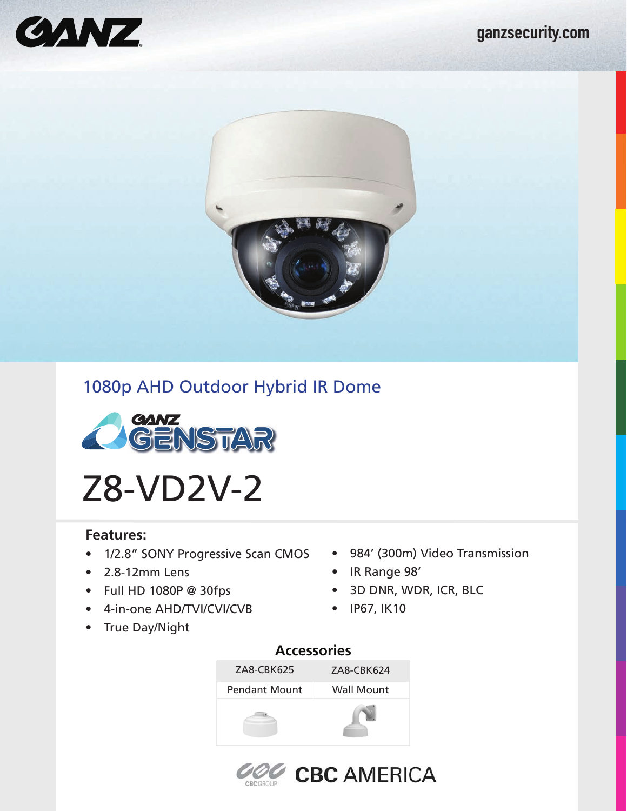



# 1080p AHD Outdoor Hybrid IR Dome



Z8-VD2V-2

### **Features:**

- 1/2.8" SONY Progressive Scan CMOS 984' (300m) Video Transmission
- 2.8-12mm Lens
- Full HD 1080P @ 30fps
- 4-in-one AHD/TVI/CVI/CVB
- True Day/Night
- 
- IR Range 98'
- 3D DNR, WDR, ICR, BLC
- IP67, IK10

# **Accessories**